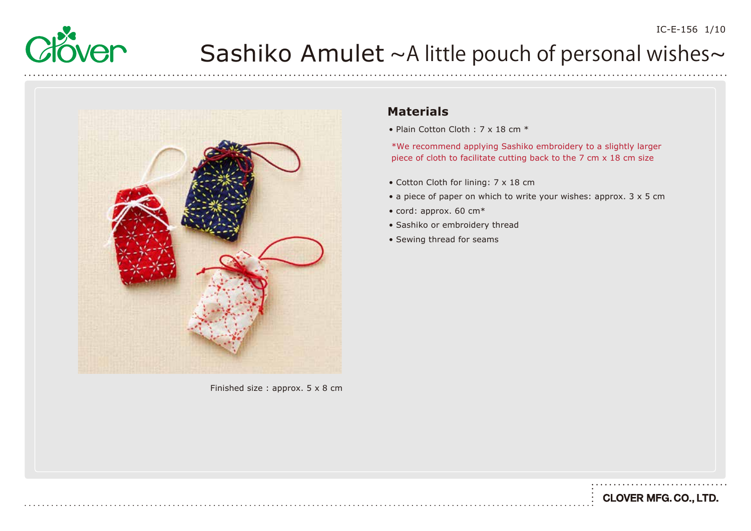



Finished size : approx. 5 x 8 cm

#### **Materials**

• Plain Cotton Cloth : 7 x 18 cm  $*$ 

\*We recommend applying Sashiko embroidery to a slightly larger piece of cloth to facilitate cutting back to the 7 cm x 18 cm size

- Cotton Cloth for lining: 7 x 18 cm
- a piece of paper on which to write your wishes: approx. 3 x 5 cm
- cord: approx. 60 cm\*
- Sashiko or embroidery thread
- Sewing thread for seams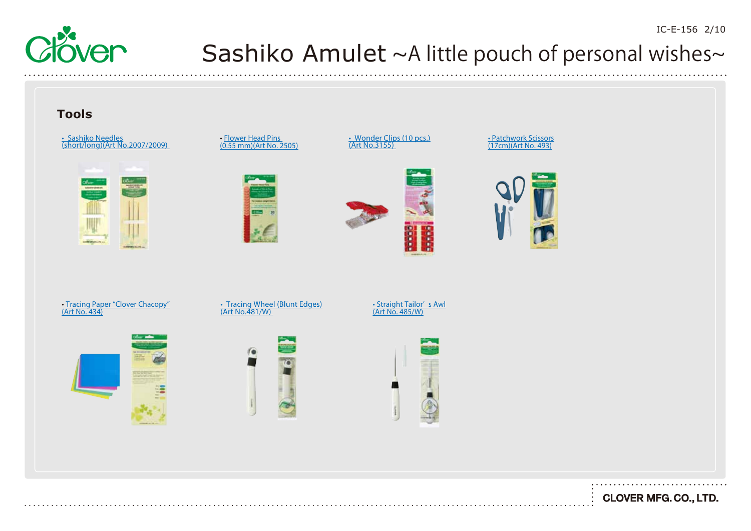



**CLOVER MFG. CO., LTD.** 

IC-E-156 2/10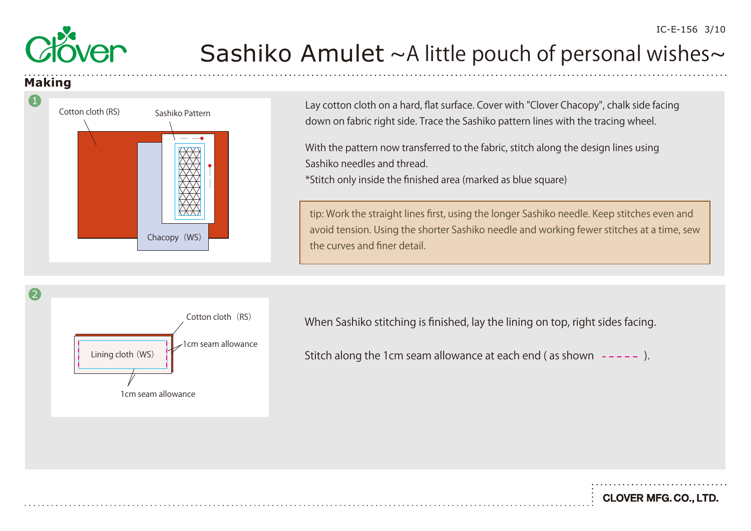

#### **Making**

1



Lay cotton cloth on a hard, flat surface. Cover with "Clover Chacopy", chalk side facing down on fabric right side. Trace the Sashiko pattern lines with the tracing wheel.

With the pattern now transferred to the fabric, stitch along the design lines using Sashiko needles and thread.

\*Stitch only inside the finished area (marked as blue square)

tip: Work the straight lines first, using the longer Sashiko needle. Keep stitches even and avoid tension. Using the shorter Sashiko needle and working fewer stitches at a time, sew the curves and finer detail.



When Sashiko stitching is finished, lay the lining on top, right sides facing.

Stitch along the 1cm seam allowance at each end (as shown  $---$ ).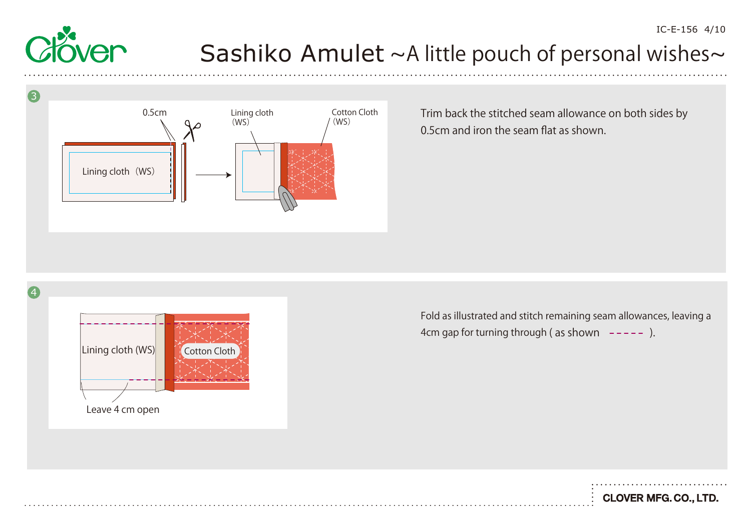

4

#### Sashiko Amulet  $~\sim$ A little pouch of personal wishes $\sim$



Trim back the stitched seam allowance on both sides by 0.5cm and iron the seam flat as shown.

Lining cloth (WS) Leave 4 cm open Cotton Cloth

Fold as illustrated and stitch remaining seam allowances, leaving a 4cm gap for turning through (as shown  $---$ ).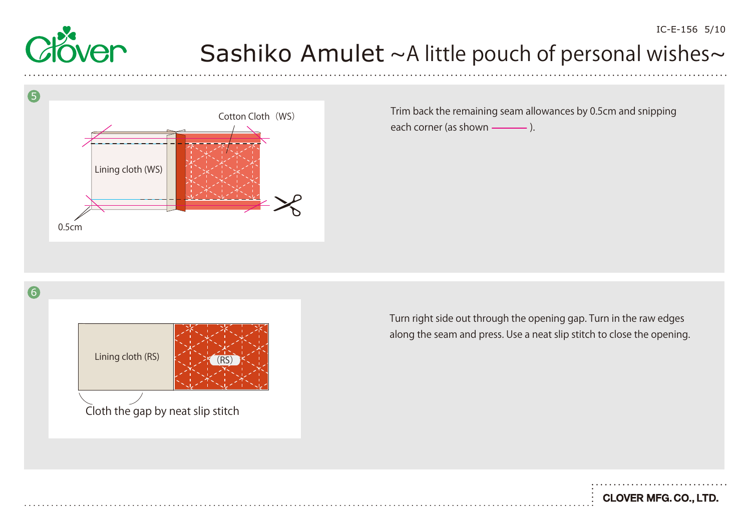



Trim back the remaining seam allowances by 0.5cm and snipping each corner (as shown ).

6



Turn right side out through the opening gap. Turn in the raw edges along the seam and press. Use a neat slip stitch to close the opening.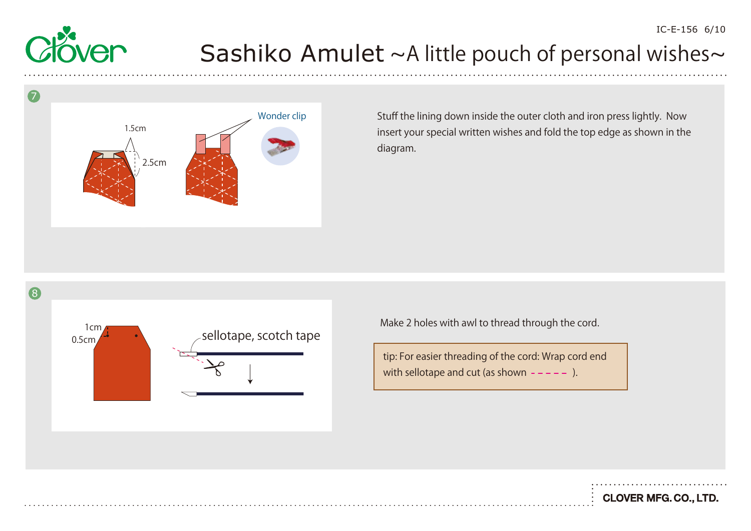



Stuff the lining down inside the outer cloth and iron press lightly. Now insert your special written wishes and fold the top edge as shown in the diagram.



Make 2 holes with awl to thread through the cord.

tip: For easier threading of the cord: Wrap cord end with sellotape and cut (as shown  $---$ ).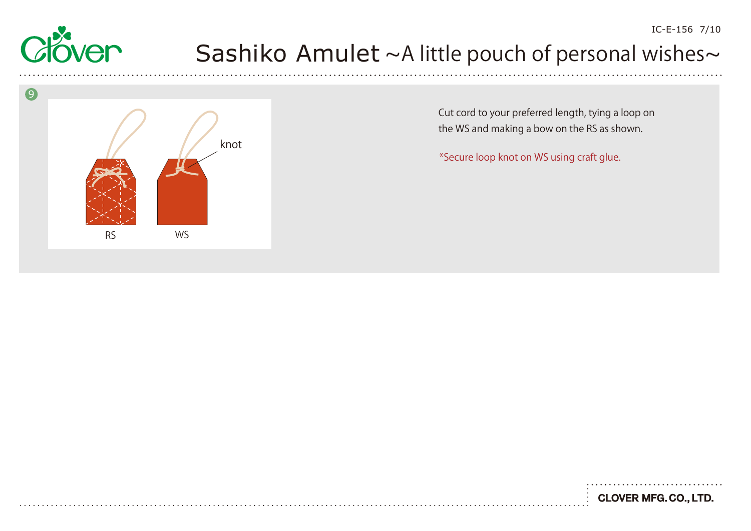



Cut cord to your preferred length, tying a loop on the WS and making a bow on the RS as shown.

\*Secure loop knot on WS using craft glue.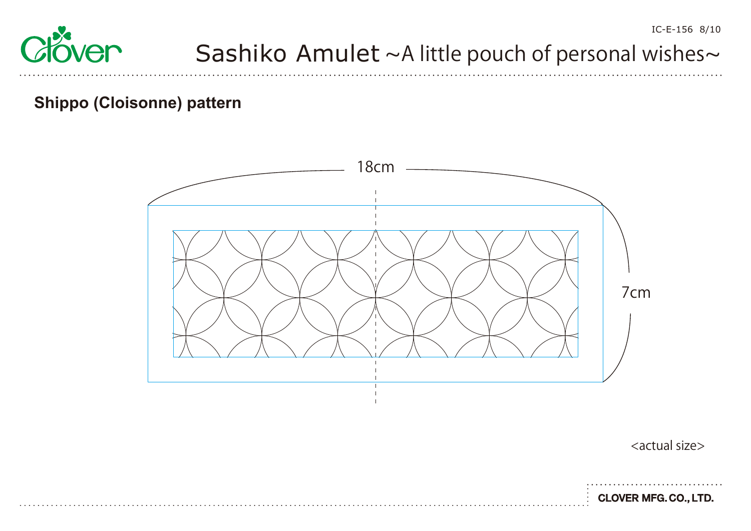# se<br>Over

# Sashiko Amulet  $~\sim$ A little pouch of personal wishes $\sim$

#### **Shippo (Cloisonne) pattern**



<actual size>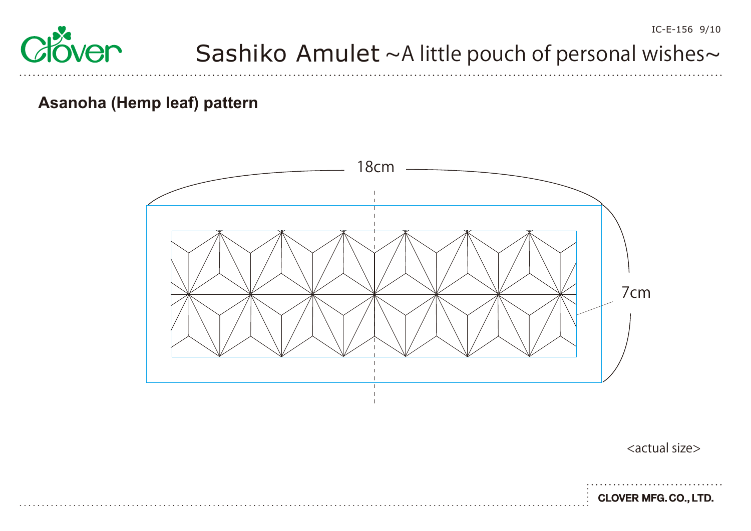

#### **Asanoha (Hemp leaf) pattern**



<actual size>